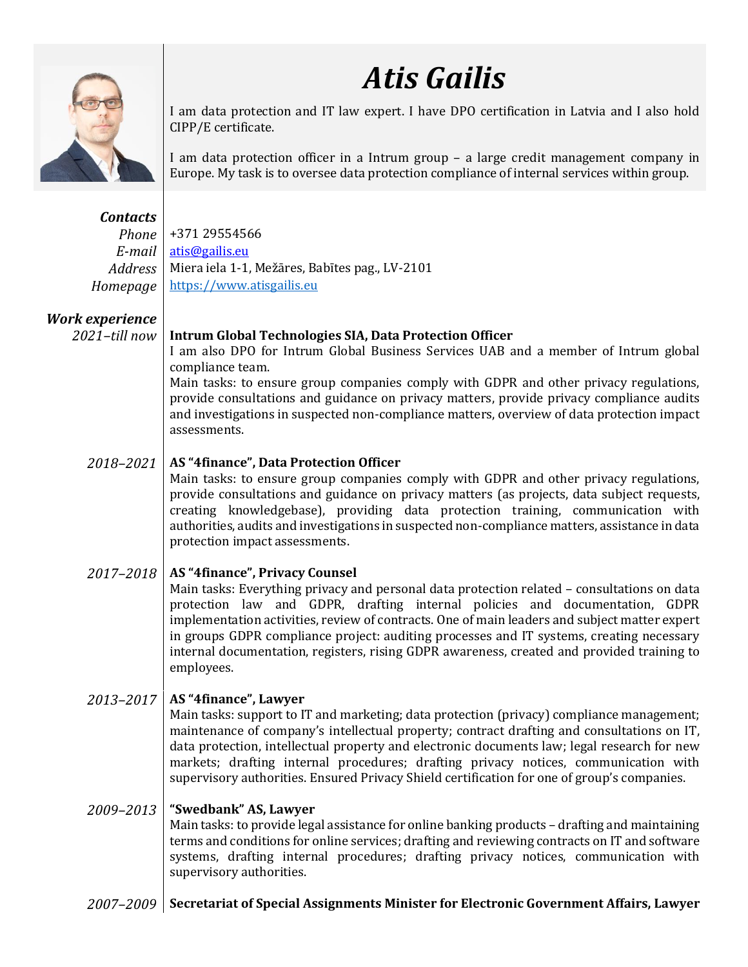

*Atis Gailis*

I am data protection and IT law expert. I have DPO certification in Latvia and I also hold CIPP/E certificate.

I am data protection officer in a Intrum group – a large credit management company in Europe. My task is to oversee data protection compliance of internal services within group.

*Contacts Phone* +371 29554566 *E-mail* [atis@gailis.eu](mailto:atis@gailis.eu) Address | Miera iela 1-1, Mežāres, Babītes pag., LV-2101 *Homepage* | [https://www.atisgailis.eu](https://www.atisgailis.eu/)

# *Work experience*

#### *2021–till now* **Intrum Global Technologies SIA, Data Protection Officer**

I am also DPO for Intrum Global Business Services UAB and a member of Intrum global compliance team.

Main tasks: to ensure group companies comply with GDPR and other privacy regulations, provide consultations and guidance on privacy matters, provide privacy compliance audits and investigations in suspected non-compliance matters, overview of data protection impact assessments.

## *2018–2021* **AS "4finance", Data Protection Officer**

Main tasks: to ensure group companies comply with GDPR and other privacy regulations, provide consultations and guidance on privacy matters (as projects, data subject requests, creating knowledgebase), providing data protection training, communication with authorities, audits and investigations in suspected non-compliance matters, assistance in data protection impact assessments.

## *2017–2018* **AS "4finance", Privacy Counsel**

Main tasks: Everything privacy and personal data protection related – consultations on data protection law and GDPR, drafting internal policies and documentation, GDPR implementation activities, review of contracts. One of main leaders and subject matter expert in groups GDPR compliance project: auditing processes and IT systems, creating necessary internal documentation, registers, rising GDPR awareness, created and provided training to employees.

## *2013–2017* **AS "4finance", Lawyer**

Main tasks: support to IT and marketing; data protection (privacy) compliance management; maintenance of company's intellectual property; contract drafting and consultations on IT, data protection, intellectual property and electronic documents law; legal research for new markets; drafting internal procedures; drafting privacy notices, communication with supervisory authorities. Ensured Privacy Shield certification for one of group's companies.

#### *2009–2013* **"Swedbank" AS, Lawyer**

Main tasks: to provide legal assistance for online banking products – drafting and maintaining terms and conditions for online services; drafting and reviewing contracts on IT and software systems, drafting internal procedures; drafting privacy notices, communication with supervisory authorities.